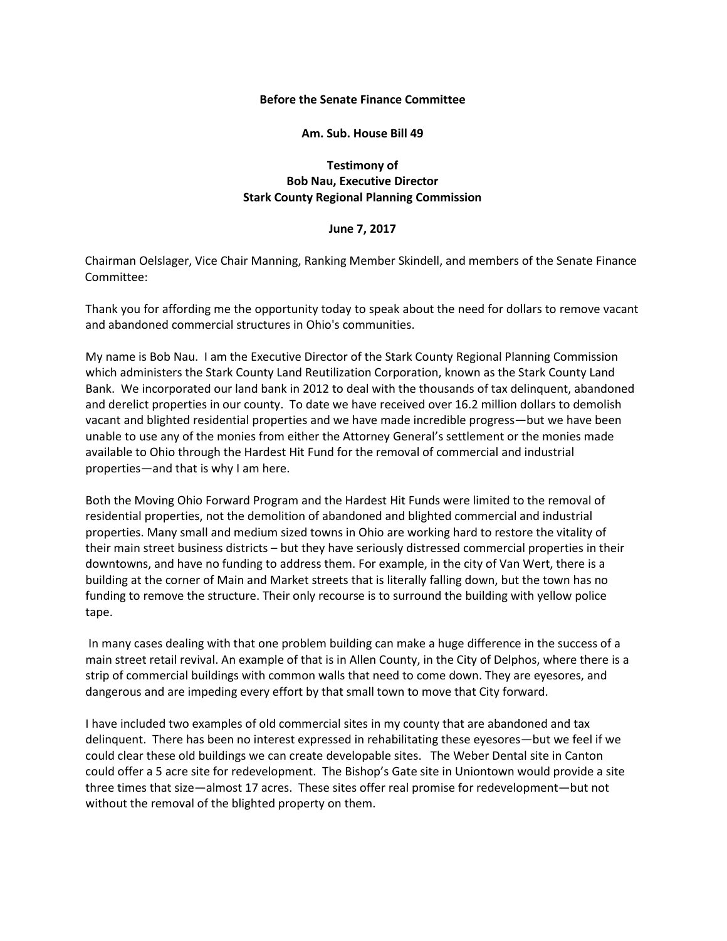## **Before the Senate Finance Committee**

## **Am. Sub. House Bill 49**

## **Testimony of Bob Nau, Executive Director Stark County Regional Planning Commission**

## **June 7, 2017**

Chairman Oelslager, Vice Chair Manning, Ranking Member Skindell, and members of the Senate Finance Committee:

Thank you for affording me the opportunity today to speak about the need for dollars to remove vacant and abandoned commercial structures in Ohio's communities.

My name is Bob Nau. I am the Executive Director of the Stark County Regional Planning Commission which administers the Stark County Land Reutilization Corporation, known as the Stark County Land Bank. We incorporated our land bank in 2012 to deal with the thousands of tax delinquent, abandoned and derelict properties in our county. To date we have received over 16.2 million dollars to demolish vacant and blighted residential properties and we have made incredible progress—but we have been unable to use any of the monies from either the Attorney General's settlement or the monies made available to Ohio through the Hardest Hit Fund for the removal of commercial and industrial properties—and that is why I am here.

Both the Moving Ohio Forward Program and the Hardest Hit Funds were limited to the removal of residential properties, not the demolition of abandoned and blighted commercial and industrial properties. Many small and medium sized towns in Ohio are working hard to restore the vitality of their main street business districts – but they have seriously distressed commercial properties in their downtowns, and have no funding to address them. For example, in the city of Van Wert, there is a building at the corner of Main and Market streets that is literally falling down, but the town has no funding to remove the structure. Their only recourse is to surround the building with yellow police tape.

In many cases dealing with that one problem building can make a huge difference in the success of a main street retail revival. An example of that is in Allen County, in the City of Delphos, where there is a strip of commercial buildings with common walls that need to come down. They are eyesores, and dangerous and are impeding every effort by that small town to move that City forward.

I have included two examples of old commercial sites in my county that are abandoned and tax delinquent. There has been no interest expressed in rehabilitating these eyesores—but we feel if we could clear these old buildings we can create developable sites. The Weber Dental site in Canton could offer a 5 acre site for redevelopment. The Bishop's Gate site in Uniontown would provide a site three times that size—almost 17 acres. These sites offer real promise for redevelopment—but not without the removal of the blighted property on them.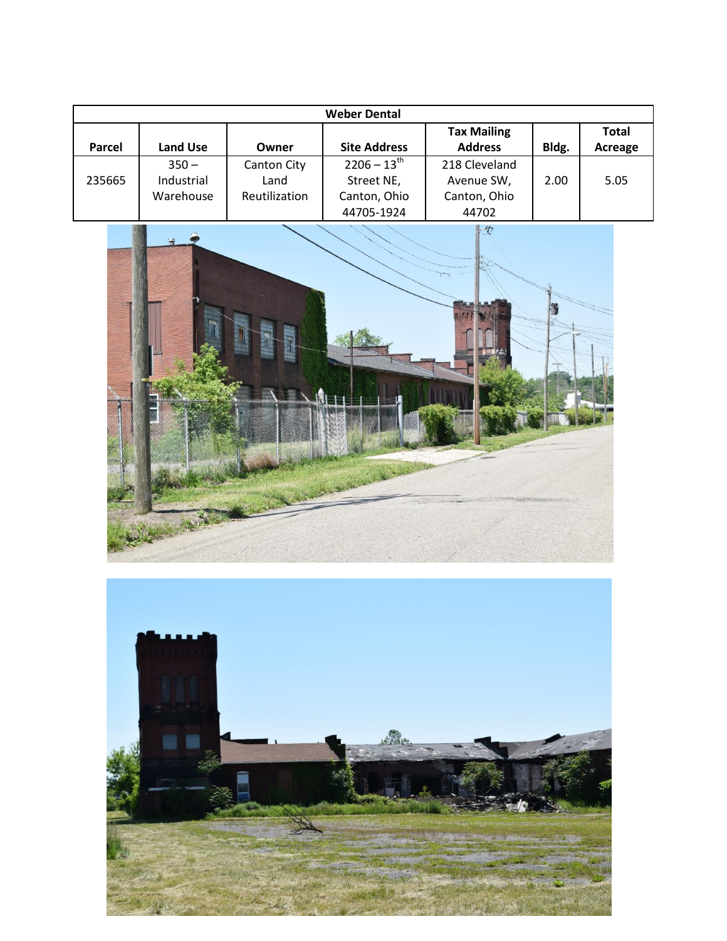| <b>Weber Dental</b> |                 |               |                     |                    |       |              |  |  |  |
|---------------------|-----------------|---------------|---------------------|--------------------|-------|--------------|--|--|--|
|                     |                 |               |                     | <b>Tax Mailing</b> |       | <b>Total</b> |  |  |  |
| <b>Parcel</b>       | <b>Land Use</b> | Owner         | <b>Site Address</b> | <b>Address</b>     | Bldg. | Acreage      |  |  |  |
|                     | $350 -$         | Canton City   | $2206 - 13^{th}$    | 218 Cleveland      |       |              |  |  |  |
| 235665              | Industrial      | Land          | Street NE,          | Avenue SW,         | 2.00  | 5.05         |  |  |  |
|                     | Warehouse       | Reutilization | Canton, Ohio        | Canton, Ohio       |       |              |  |  |  |
|                     |                 |               | 44705-1924          | 44702              |       |              |  |  |  |



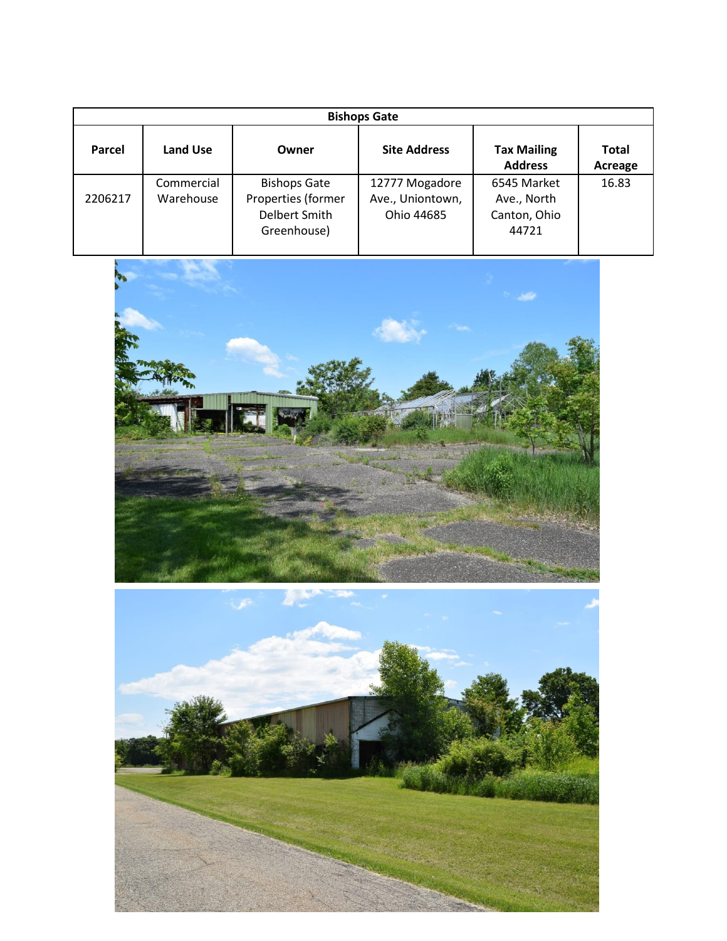| <b>Bishops Gate</b> |                          |                                                                           |                                                  |                                                     |                         |  |  |  |  |
|---------------------|--------------------------|---------------------------------------------------------------------------|--------------------------------------------------|-----------------------------------------------------|-------------------------|--|--|--|--|
| Parcel              | <b>Land Use</b><br>Owner |                                                                           | <b>Site Address</b>                              | <b>Tax Mailing</b><br><b>Address</b>                | <b>Total</b><br>Acreage |  |  |  |  |
| 2206217             | Commercial<br>Warehouse  | <b>Bishops Gate</b><br>Properties (former<br>Delbert Smith<br>Greenhouse) | 12777 Mogadore<br>Ave., Uniontown,<br>Ohio 44685 | 6545 Market<br>Ave., North<br>Canton, Ohio<br>44721 | 16.83                   |  |  |  |  |